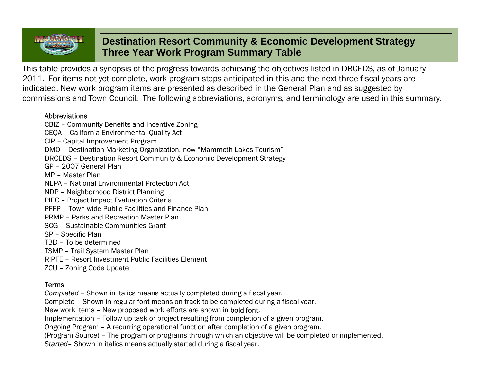# **Destination Resort Community & Economic Development Strategy Three Year Work Program Summary Table**

This table provides a synopsis of the progress towards achieving the objectives listed in DRCEDS, as of January 2011. For items not yet complete, work program steps anticipated in this and the next three fiscal years are indicated. New work program items are presented as described in the General Plan and as suggested by commissions and Town Council. The following abbreviations, acronyms, and terminology are used in this summary.

#### Abbreviations

CBIZ – Community Benefits and Incentive Zoning CEQA – California Environmental Quality Act CIP – Capital Improvement Program DMO – Destination Marketing Organization, now "Mammoth Lakes Tourism" DRCEDS – Destination Resort Community & Economic Development Strategy GP – 2007 General Plan MP – Master Plan NEPA – National Environmental Protection Act NDP – Neighborhood District Planning PIEC – Project Impact Evaluation Criteria PFFP – Town-wide Public Facilities and Finance Plan PRMP – Parks and Recreation Master Plan SCG – Sustainable Communities Grant SP – Specific Plan TBD – To be determined TSMP – Trail System Master Plan RIPFE – Resort Investment Public Facilities Element ZCU – Zoning Code Update

### Terms

*Completed* – Shown in italics means actually completed during a fiscal year.

Complete – Shown in regular font means on track to be completed during a fiscal year.

New work items – New proposed work efforts are shown in bold font.

Implementation – Follow up task or project resulting from completion of a given program.

Ongoing Program – A recurring operational function after completion of a given program.

(Program Source) – The program or programs through which an objective will be completed or implemented.

*Started*– Shown in italics means actually started during a fiscal year.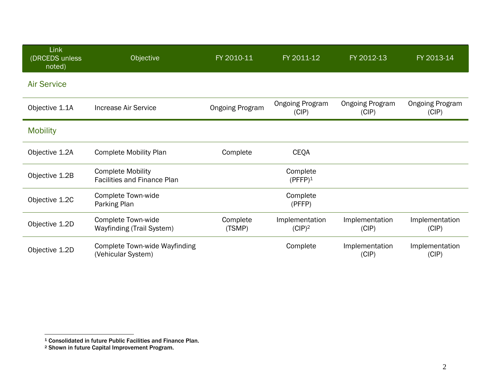| <b>Link</b><br>(DRCEDS unless<br>noted) | Objective                                                      | FY 2010-11             | FY 2011-12                      | FY 2012-13                      | FY 2013-14                      |
|-----------------------------------------|----------------------------------------------------------------|------------------------|---------------------------------|---------------------------------|---------------------------------|
| <b>Air Service</b>                      |                                                                |                        |                                 |                                 |                                 |
| Objective 1.1A                          | <b>Increase Air Service</b>                                    | <b>Ongoing Program</b> | <b>Ongoing Program</b><br>(CIP) | <b>Ongoing Program</b><br>(CIP) | <b>Ongoing Program</b><br>(CIP) |
| <b>Mobility</b>                         |                                                                |                        |                                 |                                 |                                 |
| Objective 1.2A                          | <b>Complete Mobility Plan</b>                                  | Complete               | <b>CEQA</b>                     |                                 |                                 |
| Objective 1.2B                          | <b>Complete Mobility</b><br><b>Facilities and Finance Plan</b> |                        | Complete<br>$(PFFP)^1$          |                                 |                                 |
| Objective 1.2C                          | <b>Complete Town-wide</b><br>Parking Plan                      |                        | Complete<br>(PFFP)              |                                 |                                 |
| Objective 1.2D                          | <b>Complete Town-wide</b><br><b>Wayfinding (Trail System)</b>  | Complete<br>(TSMP)     | Implementation<br>$(CIP)^2$     | Implementation<br>(CIP)         | Implementation<br>(CIP)         |
| Objective 1.2D                          | <b>Complete Town-wide Wayfinding</b><br>(Vehicular System)     |                        | Complete                        | Implementation<br>(CIP)         | Implementation<br>(CIP)         |

<sup>1</sup> Consolidated in future Public Facilities and Finance Plan. 2 Shown in future Capital Improvement Program.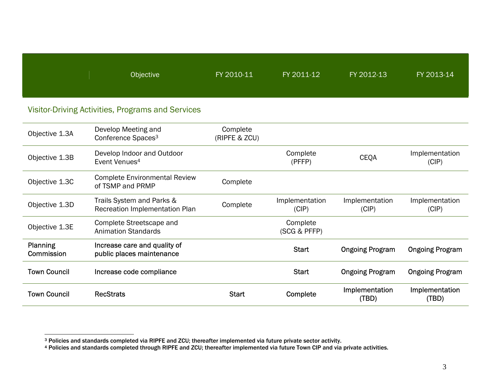| Objective | FY 2010-11 | FY 2011-12 | FY 2012-13 | FY 2013-14 |
|-----------|------------|------------|------------|------------|
|           |            |            |            |            |

## Visitor-Driving Activities, Programs and Services

| Objective 1.3A                | Develop Meeting and<br>Conference Spaces <sup>3</sup>       | Complete<br>(RIPFE & ZCU) |                          |                         |                         |
|-------------------------------|-------------------------------------------------------------|---------------------------|--------------------------|-------------------------|-------------------------|
| Objective 1.3B                | Develop Indoor and Outdoor<br>Event Venues <sup>4</sup>     |                           | Complete<br>(PFFP)       | <b>CEQA</b>             | Implementation<br>(CIP) |
| Objective 1.3C                | <b>Complete Environmental Review</b><br>of TSMP and PRMP    | Complete                  |                          |                         |                         |
| Objective 1.3D                | Trails System and Parks &<br>Recreation Implementation Plan | Complete                  | Implementation<br>(CIP)  | Implementation<br>(CIP) | Implementation<br>(CIP) |
| Objective 1.3E                | Complete Streetscape and<br><b>Animation Standards</b>      |                           | Complete<br>(SCG & PFFP) |                         |                         |
| <b>Planning</b><br>Commission | Increase care and quality of<br>public places maintenance   |                           | <b>Start</b>             | <b>Ongoing Program</b>  | <b>Ongoing Program</b>  |
| <b>Town Council</b>           | Increase code compliance                                    |                           | <b>Start</b>             | <b>Ongoing Program</b>  | <b>Ongoing Program</b>  |
| <b>Town Council</b>           | <b>RecStrats</b>                                            | <b>Start</b>              | Complete                 | Implementation<br>(TBD) | Implementation<br>(TBD) |

<sup>3</sup> Policies and standards completed via RIPFE and ZCU; thereafter implemented via future private sector activity.

<sup>4</sup> Policies and standards completed through RIPFE and ZCU; thereafter implemented via future Town CIP and via private activities.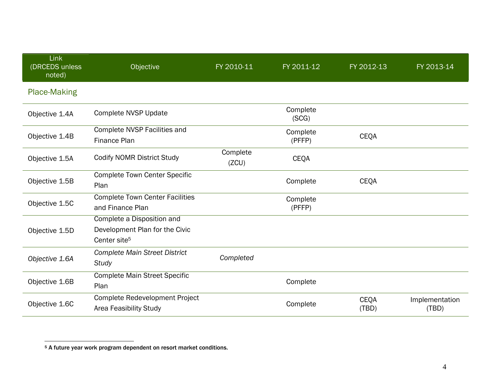| Link<br>(DRCEDS unless<br>noted) | Objective                                                                                | FY 2010-11        | FY 2011-12         | FY 2012-13           | FY 2013-14              |
|----------------------------------|------------------------------------------------------------------------------------------|-------------------|--------------------|----------------------|-------------------------|
| <b>Place-Making</b>              |                                                                                          |                   |                    |                      |                         |
| Objective 1.4A                   | <b>Complete NVSP Update</b>                                                              |                   | Complete<br>(SCG)  |                      |                         |
| Objective 1.4B                   | Complete NVSP Facilities and<br>Finance Plan                                             |                   | Complete<br>(PFFP) | <b>CEQA</b>          |                         |
| Objective 1.5A                   | <b>Codify NOMR District Study</b>                                                        | Complete<br>(ZCU) | <b>CEQA</b>        |                      |                         |
| Objective 1.5B                   | <b>Complete Town Center Specific</b><br>Plan                                             |                   | Complete           | <b>CEQA</b>          |                         |
| Objective 1.5C                   | <b>Complete Town Center Facilities</b><br>and Finance Plan                               |                   | Complete<br>(PFFP) |                      |                         |
| Objective 1.5D                   | Complete a Disposition and<br>Development Plan for the Civic<br>Center site <sup>5</sup> |                   |                    |                      |                         |
| Objective 1.6A                   | <b>Complete Main Street District</b><br><b>Study</b>                                     | Completed         |                    |                      |                         |
| Objective 1.6B                   | <b>Complete Main Street Specific</b><br>Plan                                             |                   | Complete           |                      |                         |
| Objective 1.6C                   | Complete Redevelopment Project<br><b>Area Feasibility Study</b>                          |                   | Complete           | <b>CEOA</b><br>(TBD) | Implementation<br>(TBD) |

<sup>5</sup> A future year work program dependent on resort market conditions.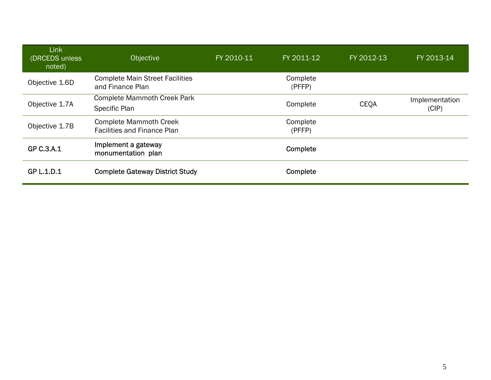| Link<br>(DRCEDS unless<br>noted) | <b>Objective</b>                                                    | FY 2010-11 | FY 2011-12         | FY 2012-13  | FY 2013-14              |
|----------------------------------|---------------------------------------------------------------------|------------|--------------------|-------------|-------------------------|
| Objective 1.6D                   | <b>Complete Main Street Facilities</b><br>and Finance Plan          |            | Complete<br>(PFFP) |             |                         |
| Objective 1.7A                   | <b>Complete Mammoth Creek Park</b><br>Specific Plan                 |            | Complete           | <b>CEOA</b> | Implementation<br>(CIP) |
| Objective 1.7B                   | <b>Complete Mammoth Creek</b><br><b>Facilities and Finance Plan</b> |            | Complete<br>(PFFP) |             |                         |
| GP C.3.A.1                       | Implement a gateway<br>monumentation plan                           |            | Complete           |             |                         |
| GP L.1.D.1                       | <b>Complete Gateway District Study</b>                              |            | Complete           |             |                         |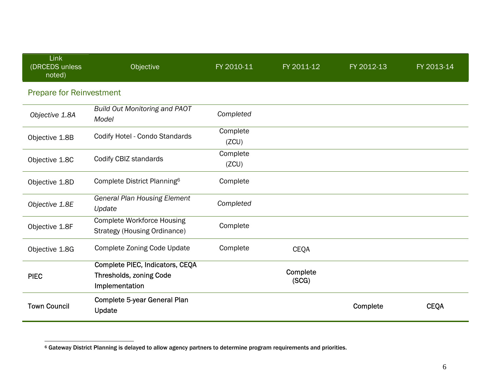| Link<br>(DRCEDS unless<br>noted) | Objective                                                                           | FY 2010-11        | FY 2011-12        | FY 2012-13 | FY 2013-14  |
|----------------------------------|-------------------------------------------------------------------------------------|-------------------|-------------------|------------|-------------|
| <b>Prepare for Reinvestment</b>  |                                                                                     |                   |                   |            |             |
| Objective 1.8A                   | <b>Build Out Monitoring and PAOT</b><br>Model                                       | Completed         |                   |            |             |
| Objective 1.8B                   | Codify Hotel - Condo Standards                                                      | Complete<br>(ZCU) |                   |            |             |
| Objective 1.8C                   | Codify CBIZ standards                                                               | Complete<br>(ZCU) |                   |            |             |
| Objective 1.8D                   | Complete District Planning <sup>6</sup>                                             | Complete          |                   |            |             |
| Objective 1.8E                   | <b>General Plan Housing Element</b><br>Update                                       | Completed         |                   |            |             |
| Objective 1.8F                   | <b>Complete Workforce Housing</b><br><b>Strategy (Housing Ordinance)</b>            | Complete          |                   |            |             |
| Objective 1.8G                   | <b>Complete Zoning Code Update</b>                                                  | Complete          | <b>CEQA</b>       |            |             |
| <b>PIEC</b>                      | Complete PIEC, Indicators, CEQA<br><b>Thresholds, zoning Code</b><br>Implementation |                   | Complete<br>(SCG) |            |             |
| <b>Town Council</b>              | <b>Complete 5-year General Plan</b><br>Update                                       |                   |                   | Complete   | <b>CEQA</b> |

<sup>6</sup> Gateway District Planning is delayed to allow agency partners to determine program requirements and priorities.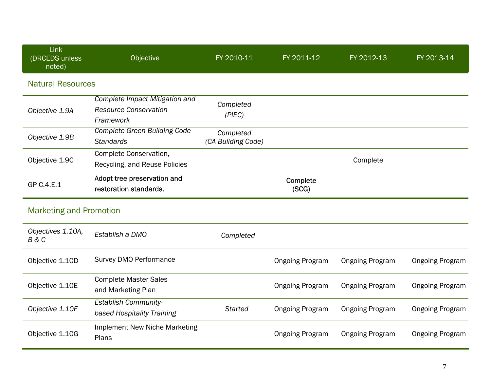| Link<br>(DRCEDS unless<br>noted) | Objective                                                                   | FY 2010-11                      | FY 2011-12             | FY 2012-13             | FY 2013-14             |
|----------------------------------|-----------------------------------------------------------------------------|---------------------------------|------------------------|------------------------|------------------------|
| <b>Natural Resources</b>         |                                                                             |                                 |                        |                        |                        |
| Objective 1.9A                   | Complete Impact Mitigation and<br><b>Resource Conservation</b><br>Framework | Completed<br>(PIEC)             |                        |                        |                        |
| Objective 1.9B                   | <b>Complete Green Building Code</b><br><b>Standards</b>                     | Completed<br>(CA Building Code) |                        |                        |                        |
| Objective 1.9C                   | Complete Conservation,<br>Recycling, and Reuse Policies                     |                                 |                        | Complete               |                        |
| GP C.4.E.1                       | Adopt tree preservation and<br>restoration standards.                       |                                 | Complete<br>(SCG)      |                        |                        |
| <b>Marketing and Promotion</b>   |                                                                             |                                 |                        |                        |                        |
| Objectives 1.10A,<br>B & C       | Establish a DMO                                                             | Completed                       |                        |                        |                        |
| Objective 1.10D                  | Survey DMO Performance                                                      |                                 | <b>Ongoing Program</b> | <b>Ongoing Program</b> | <b>Ongoing Program</b> |
| Objective 1.10E                  | <b>Complete Master Sales</b><br>and Marketing Plan                          |                                 | <b>Ongoing Program</b> | <b>Ongoing Program</b> | <b>Ongoing Program</b> |
| Objective 1.10F                  | <b>Establish Community-</b><br>based Hospitality Training                   | <b>Started</b>                  | <b>Ongoing Program</b> | <b>Ongoing Program</b> | <b>Ongoing Program</b> |
| Objective 1.10G                  | <b>Implement New Niche Marketing</b><br>Plans                               |                                 | <b>Ongoing Program</b> | <b>Ongoing Program</b> | <b>Ongoing Program</b> |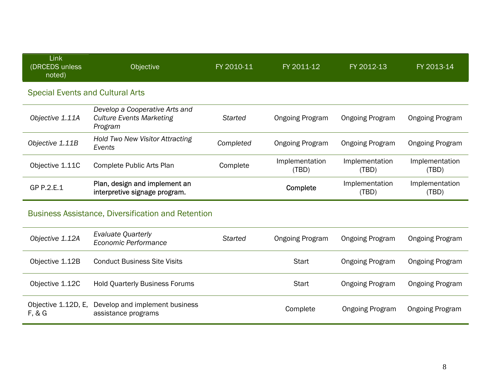| Link<br>(DRCEDS unless<br>noted)        | <b>Objective</b>                                                             | FY 2010-11 | FY 2011-12              | FY 2012-13              | FY 2013-14              |  |  |
|-----------------------------------------|------------------------------------------------------------------------------|------------|-------------------------|-------------------------|-------------------------|--|--|
| <b>Special Events and Cultural Arts</b> |                                                                              |            |                         |                         |                         |  |  |
| Objective 1.11A                         | Develop a Cooperative Arts and<br><b>Culture Events Marketing</b><br>Program | Started    | <b>Ongoing Program</b>  | <b>Ongoing Program</b>  | <b>Ongoing Program</b>  |  |  |
| Objective 1.11B                         | <b>Hold Two New Visitor Attracting</b><br>Events                             | Completed  | <b>Ongoing Program</b>  | <b>Ongoing Program</b>  | <b>Ongoing Program</b>  |  |  |
| Objective 1.11C                         | Complete Public Arts Plan                                                    | Complete   | Implementation<br>(TBD) | Implementation<br>(TBD) | Implementation<br>(TBD) |  |  |
| GP P.2.E.1                              | Plan, design and implement an<br>interpretive signage program.               |            | Complete                | Implementation<br>(TBD) | Implementation<br>(TBD) |  |  |
|                                         |                                                                              |            |                         |                         |                         |  |  |

## Business Assistance, Diversification and Retention

| Objective 1.12A               | Evaluate Quarterly<br>Economic Performance            | Started | <b>Ongoing Program</b> | <b>Ongoing Program</b> | <b>Ongoing Program</b> |
|-------------------------------|-------------------------------------------------------|---------|------------------------|------------------------|------------------------|
| Objective 1.12B               | <b>Conduct Business Site Visits</b>                   |         | Start                  | <b>Ongoing Program</b> | <b>Ongoing Program</b> |
| Objective 1.12C               | <b>Hold Quarterly Business Forums</b>                 |         | <b>Start</b>           | <b>Ongoing Program</b> | <b>Ongoing Program</b> |
| Objective 1.12D, E,<br>F, & G | Develop and implement business<br>assistance programs |         | Complete               | <b>Ongoing Program</b> | <b>Ongoing Program</b> |